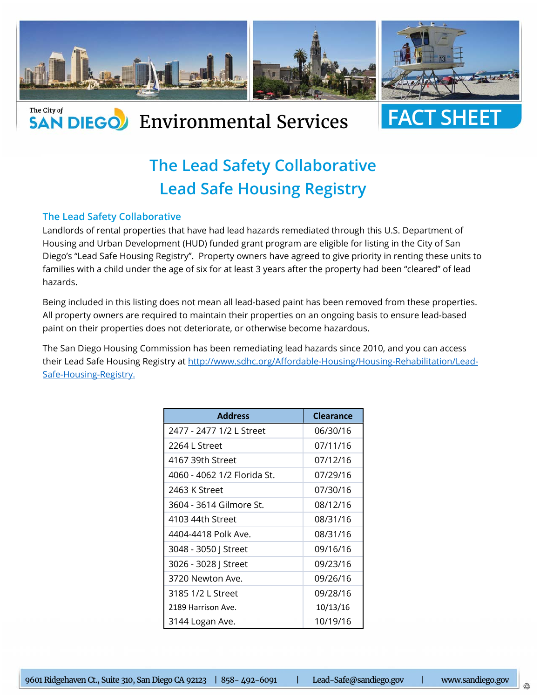

## **SAN DIEGO** Environmental Services



## **The Lead Safety Collaborative Lead Safe Housing Registry**

## **The Lead Safety Collaborative**

The City of

Landlords of rental properties that have had lead hazards remediated through this U.S. Department of Housing and Urban Development (HUD) funded grant program are eligible for listing in the City of San Diego's "Lead Safe Housing Registry". Property owners have agreed to give priority in renting these units to families with a child under the age of six for at least 3 years after the property had been "cleared" of lead hazards.

Being included in this listing does not mean all lead-based paint has been removed from these properties. All property owners are required to maintain their properties on an ongoing basis to ensure lead-based paint on their properties does not deteriorate, or otherwise become hazardous.

The San Diego Housing Commission has been remediating lead hazards since 2010, and you can access their Lead Safe Housing Registry at http://www.sdhc.org/Affordable-Housing/Housing-Rehabilitation/Lead-Safe-Housing-Registry.

| <b>Address</b>              | <b>Clearance</b> |  |
|-----------------------------|------------------|--|
| 2477 - 2477 1/2 L Street    | 06/30/16         |  |
| 2264 L Street               | 07/11/16         |  |
| 4167 39th Street            | 07/12/16         |  |
| 4060 - 4062 1/2 Florida St. | 07/29/16         |  |
| 2463 K Street               | 07/30/16         |  |
| 3604 - 3614 Gilmore St.     | 08/12/16         |  |
| 4103 44th Street            | 08/31/16         |  |
| 4404-4418 Polk Ave.         | 08/31/16         |  |
| 3048 - 3050   Street        | 09/16/16         |  |
| 3026 - 3028 J Street        | 09/23/16         |  |
| 3720 Newton Ave.            | 09/26/16         |  |
| 3185 1/2 L Street           | 09/28/16         |  |
| 2189 Harrison Ave.          | 10/13/16         |  |
| 3144 Logan Ave.             | 10/19/16         |  |